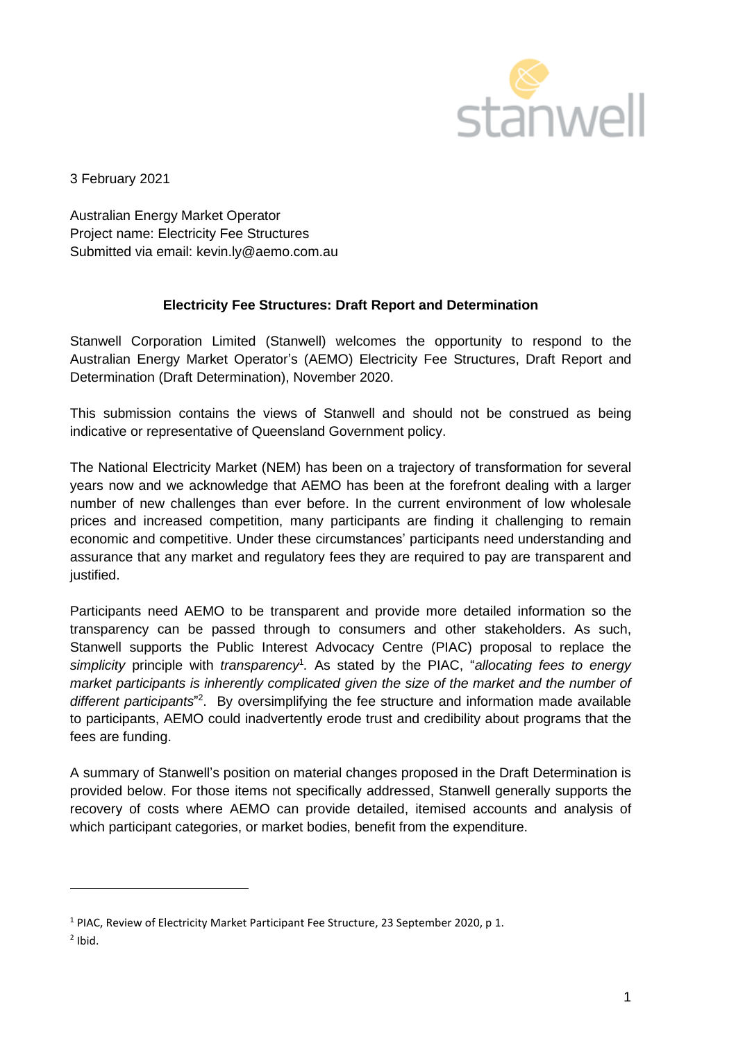

3 February 2021

Australian Energy Market Operator Project name: Electricity Fee Structures Submitted via email: kevin.ly@aemo.com.au

# **Electricity Fee Structures: Draft Report and Determination**

Stanwell Corporation Limited (Stanwell) welcomes the opportunity to respond to the Australian Energy Market Operator's (AEMO) Electricity Fee Structures, Draft Report and Determination (Draft Determination), November 2020.

This submission contains the views of Stanwell and should not be construed as being indicative or representative of Queensland Government policy.

The National Electricity Market (NEM) has been on a trajectory of transformation for several years now and we acknowledge that AEMO has been at the forefront dealing with a larger number of new challenges than ever before. In the current environment of low wholesale prices and increased competition, many participants are finding it challenging to remain economic and competitive. Under these circumstances' participants need understanding and assurance that any market and regulatory fees they are required to pay are transparent and justified.

Participants need AEMO to be transparent and provide more detailed information so the transparency can be passed through to consumers and other stakeholders. As such, Stanwell supports the Public Interest Advocacy Centre (PIAC) proposal to replace the *simplicity* principle with *transparency*<sup>1</sup> *.* As stated by the PIAC, "*allocating fees to energy market participants is inherently complicated given the size of the market and the number of*  different participants<sup>"2</sup>. By oversimplifying the fee structure and information made available to participants, AEMO could inadvertently erode trust and credibility about programs that the fees are funding.

A summary of Stanwell's position on material changes proposed in the Draft Determination is provided below. For those items not specifically addressed, Stanwell generally supports the recovery of costs where AEMO can provide detailed, itemised accounts and analysis of which participant categories, or market bodies, benefit from the expenditure.

<sup>1</sup> PIAC, Review of Electricity Market Participant Fee Structure, 23 September 2020, p 1.

 $<sup>2</sup>$  Ibid.</sup>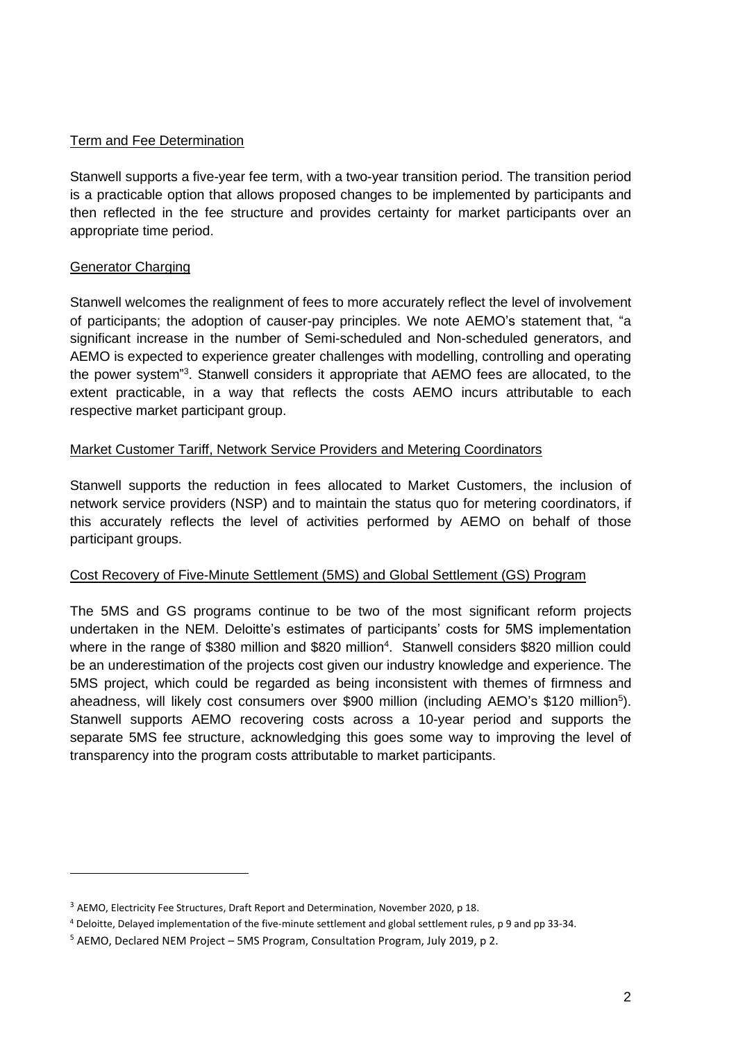# Term and Fee Determination

Stanwell supports a five-year fee term, with a two-year transition period. The transition period is a practicable option that allows proposed changes to be implemented by participants and then reflected in the fee structure and provides certainty for market participants over an appropriate time period.

# Generator Charging

Stanwell welcomes the realignment of fees to more accurately reflect the level of involvement of participants; the adoption of causer-pay principles. We note AEMO's statement that, "a significant increase in the number of Semi-scheduled and Non-scheduled generators, and AEMO is expected to experience greater challenges with modelling, controlling and operating the power system"<sup>3</sup>. Stanwell considers it appropriate that AEMO fees are allocated, to the extent practicable, in a way that reflects the costs AEMO incurs attributable to each respective market participant group.

# Market Customer Tariff, Network Service Providers and Metering Coordinators

Stanwell supports the reduction in fees allocated to Market Customers, the inclusion of network service providers (NSP) and to maintain the status quo for metering coordinators, if this accurately reflects the level of activities performed by AEMO on behalf of those participant groups.

# Cost Recovery of Five-Minute Settlement (5MS) and Global Settlement (GS) Program

The 5MS and GS programs continue to be two of the most significant reform projects undertaken in the NEM. Deloitte's estimates of participants' costs for 5MS implementation where in the range of \$380 million and \$820 million<sup>4</sup>. Stanwell considers \$820 million could be an underestimation of the projects cost given our industry knowledge and experience. The 5MS project, which could be regarded as being inconsistent with themes of firmness and aheadness, will likely cost consumers over \$900 million (including AEMO's \$120 million<sup>5</sup>). Stanwell supports AEMO recovering costs across a 10-year period and supports the separate 5MS fee structure, acknowledging this goes some way to improving the level of transparency into the program costs attributable to market participants.

<sup>&</sup>lt;sup>3</sup> AEMO, Electricity Fee Structures, Draft Report and Determination, November 2020, p 18.

<sup>4</sup> Deloitte, Delayed implementation of the five-minute settlement and global settlement rules, p 9 and pp 33-34.

<sup>5</sup> AEMO, Declared NEM Project – 5MS Program, Consultation Program, July 2019, p 2.